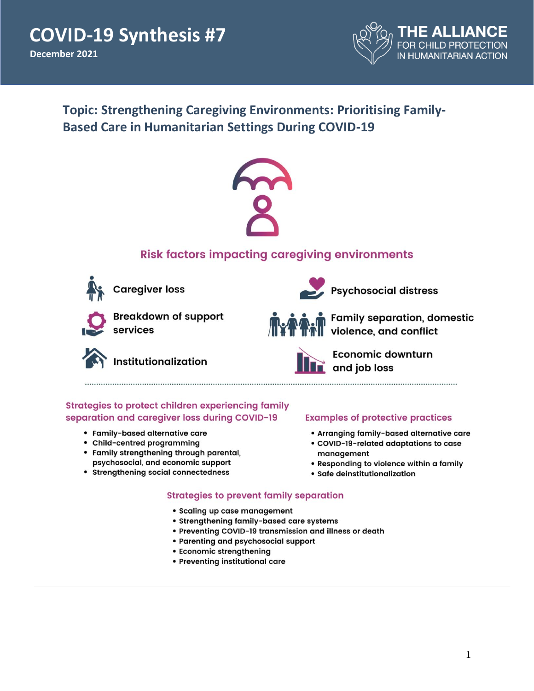**COVID-19 Synthesis #7 December 2021** 



# **Topic: Strengthening Caregiving Environments: Prioritising Family-Based Care in Humanitarian Settings During COVID-19**



## **Risk factors impacting caregiving environments**



**Caregiver loss** 



**Breakdown of support** services

Institutionalization



Family separation, domestic<br>Nuiolence, and conflict



Economic downturn  $\Box$  and job loss

Psychosocial distress

### Strategies to protect children experiencing family separation and caregiver loss during COVID-19

- · Family-based alternative care
- Child-centred programming
- Family strengthening through parental, psychosocial, and economic support
- Strengthening social connectedness

### **Examples of protective practices**

- Arranging family-based alternative care
- COVID-19-related adaptations to case management
- . Responding to violence within a family
- · Safe deinstitutionalization

### **Strategies to prevent family separation**

- · Scaling up case management
- Strengthening family-based care systems
- . Preventing COVID-19 transmission and illness or death
- Parenting and psychosocial support
- Economic strengthening
- · Preventing institutional care
-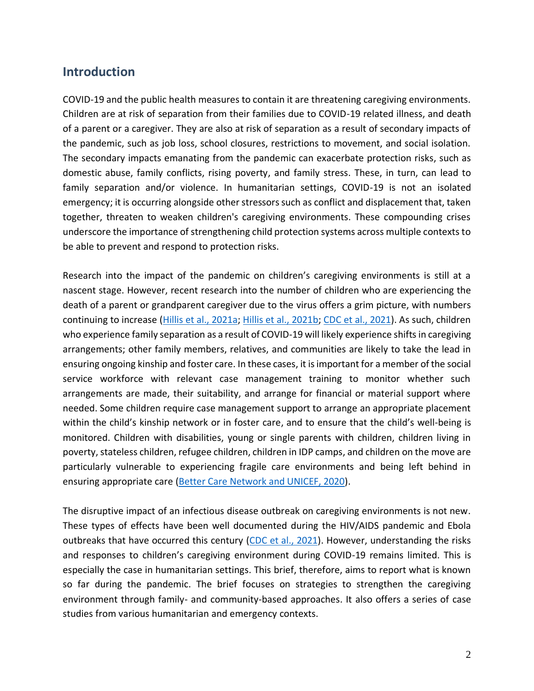## <span id="page-1-0"></span>**Introduction**

COVID-19 and the public health measures to contain it are threatening caregiving environments. Children are at risk of separation from their families due to COVID-19 related illness, and death of a parent or a caregiver. They are also at risk of separation as a result of secondary impacts of the pandemic, such as job loss, school closures, restrictions to movement, and social isolation. The secondary impacts emanating from the pandemic can exacerbate protection risks, such as domestic abuse, family conflicts, rising poverty, and family stress. These, in turn, can lead to family separation and/or violence. In humanitarian settings, COVID-19 is not an isolated emergency; it is occurring alongside other stressors such as conflict and displacement that, taken together, threaten to weaken children's caregiving environments. These compounding crises underscore the importance of strengthening child protection systems across multiple contexts to be able to prevent and respond to protection risks.

Research into the impact of the pandemic on children's caregiving environments is still at a nascent stage. However, recent research into the number of children who are experiencing the death of a parent or grandparent caregiver due to the virus offers a grim picture, with numbers continuing to increase [\(Hillis et al., 2021a;](https://www.thelancet.com/journals/lancet/article/PIIS0140-6736(21)01253-8/fulltext) [Hillis et al., 2021b;](https://pediatrics.aappublications.org/content/early/2021/10/06/peds.2021-053760) [CDC et al., 2021\)](https://www.cdc.gov/coronavirus/2019-ncov/downloads/community/orphanhood-report.pdf). As such, children who experience family separation as a result of COVID-19 will likely experience shifts in caregiving arrangements; other family members, relatives, and communities are likely to take the lead in ensuring ongoing kinship and foster care. In these cases, it is important for a member of the social service workforce with relevant case management training to monitor whether such arrangements are made, their suitability, and arrange for financial or material support where needed. Some children require case management support to arrange an appropriate placement within the child's kinship network or in foster care, and to ensure that the child's well-being is monitored. Children with disabilities, young or single parents with children, children living in poverty, stateless children, refugee children, children in IDP camps, and children on the move are particularly vulnerable to experiencing fragile care environments and being left behind in ensuring appropriate care [\(Better Care Network and UNICEF, 2020\)](https://bettercarenetwork.org/sites/default/files/2020-12/UNICEF_Better_care_network_1222_DIGITAL.pdf).

The disruptive impact of an infectious disease outbreak on caregiving environments is not new. These types of effects have been well documented during the HIV/AIDS pandemic and Ebola outbreaks that have occurred this century [\(CDC et al., 2021\)](https://www.cdc.gov/coronavirus/2019-ncov/downloads/community/orphanhood-report.pdf). However, understanding the risks and responses to children's caregiving environment during COVID-19 remains limited. This is especially the case in humanitarian settings. This brief, therefore, aims to report what is known so far during the pandemic. The brief focuses on strategies to strengthen the caregiving environment through family- and community-based approaches. It also offers a series of case studies from various humanitarian and emergency contexts.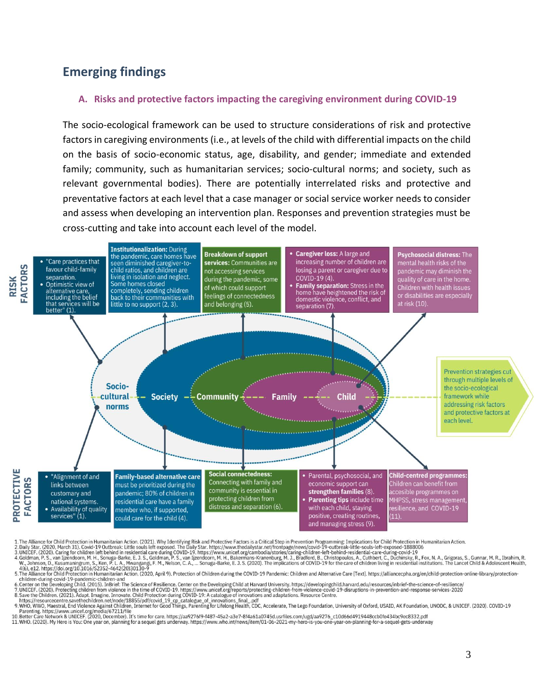# **Emerging findings**

#### **A. Risks and protective factors impacting the caregiving environment during COVID-19**

The socio-ecological framework can be used to structure considerations of risk and protective factors in caregiving environments (i.e., at levels of the child with differential impacts on the child on the basis of socio-economic status, age, disability, and gender; immediate and extended family; community, such as humanitarian services; socio-cultural norms; and society, such as relevant governmental bodies). There are potentially interrelated risks and protective and preventative factors at each level that a case manager or social service worker needs to consider and assess when developing an intervention plan. Responses and prevention strategies must be cross-cutting and take into account each level of the model.



1. The Alkiance for Child Protection in Humanitarian Action. (2021). Why Identifying Risk and Protective Factors is a Critical Step in Prevention Programming: Implications for Child Protection in Humanitarian Action.<br>2. Da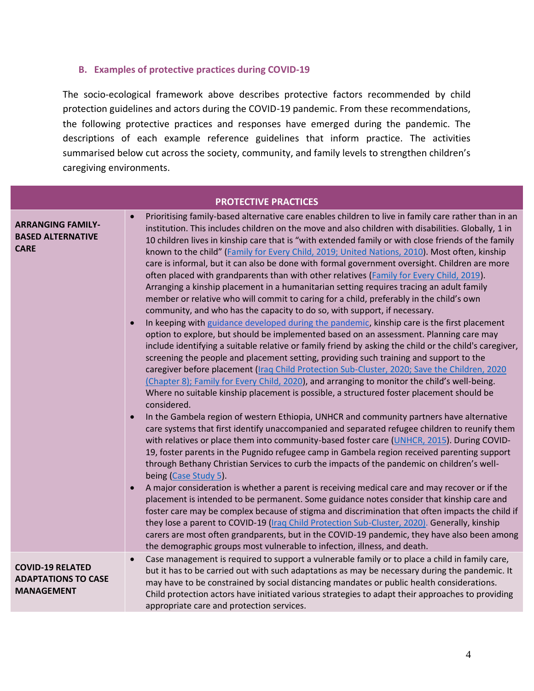#### **B. Examples of protective practices during COVID-19**

The socio-ecological framework above describes protective factors recommended by child protection guidelines and actors during the COVID-19 pandemic. From these recommendations, the following protective practices and responses have emerged during the pandemic. The descriptions of each example reference guidelines that inform practice. The activities summarised below cut across the society, community, and family levels to strengthen children's caregiving environments.

| <b>PROTECTIVE PRACTICES</b>                                                |                                                                                                                                                                                                                                                                                                                                                                                                                                                                                                                                                                                                                                                                                                                                                                                                                                                                                      |  |  |  |
|----------------------------------------------------------------------------|--------------------------------------------------------------------------------------------------------------------------------------------------------------------------------------------------------------------------------------------------------------------------------------------------------------------------------------------------------------------------------------------------------------------------------------------------------------------------------------------------------------------------------------------------------------------------------------------------------------------------------------------------------------------------------------------------------------------------------------------------------------------------------------------------------------------------------------------------------------------------------------|--|--|--|
| <b>ARRANGING FAMILY-</b><br><b>BASED ALTERNATIVE</b><br><b>CARE</b>        | Prioritising family-based alternative care enables children to live in family care rather than in an<br>institution. This includes children on the move and also children with disabilities. Globally, 1 in<br>10 children lives in kinship care that is "with extended family or with close friends of the family<br>known to the child" (Family for Every Child, 2019; United Nations, 2010). Most often, kinship<br>care is informal, but it can also be done with formal government oversight. Children are more<br>often placed with grandparents than with other relatives (Family for Every Child, 2019).<br>Arranging a kinship placement in a humanitarian setting requires tracing an adult family<br>member or relative who will commit to caring for a child, preferably in the child's own<br>community, and who has the capacity to do so, with support, if necessary. |  |  |  |
|                                                                            | In keeping with guidance developed during the pandemic, kinship care is the first placement<br>option to explore, but should be implemented based on an assessment. Planning care may<br>include identifying a suitable relative or family friend by asking the child or the child's caregiver,<br>screening the people and placement setting, providing such training and support to the<br>caregiver before placement (Iraq Child Protection Sub-Cluster, 2020; Save the Children, 2020<br>(Chapter 8); Family for Every Child, 2020), and arranging to monitor the child's well-being.<br>Where no suitable kinship placement is possible, a structured foster placement should be<br>considered.                                                                                                                                                                                 |  |  |  |
|                                                                            | In the Gambela region of western Ethiopia, UNHCR and community partners have alternative<br>care systems that first identify unaccompanied and separated refugee children to reunify them<br>with relatives or place them into community-based foster care (UNHCR, 2015). During COVID-<br>19, foster parents in the Pugnido refugee camp in Gambela region received parenting support<br>through Bethany Christian Services to curb the impacts of the pandemic on children's well-<br>being (Case Study 5).                                                                                                                                                                                                                                                                                                                                                                        |  |  |  |
|                                                                            | A major consideration is whether a parent is receiving medical care and may recover or if the<br>placement is intended to be permanent. Some guidance notes consider that kinship care and<br>foster care may be complex because of stigma and discrimination that often impacts the child if<br>they lose a parent to COVID-19 (Iraq Child Protection Sub-Cluster, 2020). Generally, kinship<br>carers are most often grandparents, but in the COVID-19 pandemic, they have also been among<br>the demographic groups most vulnerable to infection, illness, and death.                                                                                                                                                                                                                                                                                                             |  |  |  |
| <b>COVID-19 RELATED</b><br><b>ADAPTATIONS TO CASE</b><br><b>MANAGEMENT</b> | Case management is required to support a vulnerable family or to place a child in family care,<br>$\bullet$<br>but it has to be carried out with such adaptations as may be necessary during the pandemic. It<br>may have to be constrained by social distancing mandates or public health considerations.<br>Child protection actors have initiated various strategies to adapt their approaches to providing<br>appropriate care and protection services.                                                                                                                                                                                                                                                                                                                                                                                                                          |  |  |  |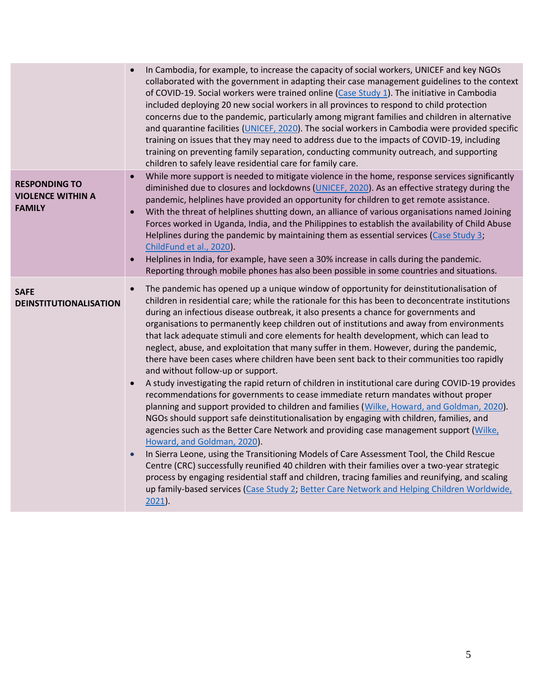|                                                                   | In Cambodia, for example, to increase the capacity of social workers, UNICEF and key NGOs<br>collaborated with the government in adapting their case management guidelines to the context<br>of COVID-19. Social workers were trained online (Case Study 1). The initiative in Cambodia<br>included deploying 20 new social workers in all provinces to respond to child protection<br>concerns due to the pandemic, particularly among migrant families and children in alternative<br>and quarantine facilities (UNICEF, 2020). The social workers in Cambodia were provided specific<br>training on issues that they may need to address due to the impacts of COVID-19, including<br>training on preventing family separation, conducting community outreach, and supporting<br>children to safely leave residential care for family care.                                                                                                                                                                                                                                                                                                                                                                                                                                                                                                                                                                                                                                                                                                                                                                                                                 |
|-------------------------------------------------------------------|----------------------------------------------------------------------------------------------------------------------------------------------------------------------------------------------------------------------------------------------------------------------------------------------------------------------------------------------------------------------------------------------------------------------------------------------------------------------------------------------------------------------------------------------------------------------------------------------------------------------------------------------------------------------------------------------------------------------------------------------------------------------------------------------------------------------------------------------------------------------------------------------------------------------------------------------------------------------------------------------------------------------------------------------------------------------------------------------------------------------------------------------------------------------------------------------------------------------------------------------------------------------------------------------------------------------------------------------------------------------------------------------------------------------------------------------------------------------------------------------------------------------------------------------------------------------------------------------------------------------------------------------------------------|
| <b>RESPONDING TO</b><br><b>VIOLENCE WITHIN A</b><br><b>FAMILY</b> | While more support is needed to mitigate violence in the home, response services significantly<br>diminished due to closures and lockdowns (UNICEF, 2020). As an effective strategy during the<br>pandemic, helplines have provided an opportunity for children to get remote assistance.<br>With the threat of helplines shutting down, an alliance of various organisations named Joining<br>$\bullet$<br>Forces worked in Uganda, India, and the Philippines to establish the availability of Child Abuse<br>Helplines during the pandemic by maintaining them as essential services (Case Study 3;<br>ChildFund et al., 2020).<br>Helplines in India, for example, have seen a 30% increase in calls during the pandemic.<br>$\bullet$<br>Reporting through mobile phones has also been possible in some countries and situations.                                                                                                                                                                                                                                                                                                                                                                                                                                                                                                                                                                                                                                                                                                                                                                                                                         |
| <b>SAFE</b><br><b>DEINSTITUTIONALISATION</b>                      | The pandemic has opened up a unique window of opportunity for deinstitutionalisation of<br>$\bullet$<br>children in residential care; while the rationale for this has been to deconcentrate institutions<br>during an infectious disease outbreak, it also presents a chance for governments and<br>organisations to permanently keep children out of institutions and away from environments<br>that lack adequate stimuli and core elements for health development, which can lead to<br>neglect, abuse, and exploitation that many suffer in them. However, during the pandemic,<br>there have been cases where children have been sent back to their communities too rapidly<br>and without follow-up or support.<br>A study investigating the rapid return of children in institutional care during COVID-19 provides<br>recommendations for governments to cease immediate return mandates without proper<br>planning and support provided to children and families (Wilke, Howard, and Goldman, 2020).<br>NGOs should support safe deinstitutionalisation by engaging with children, families, and<br>agencies such as the Better Care Network and providing case management support (Wilke,<br>Howard, and Goldman, 2020).<br>In Sierra Leone, using the Transitioning Models of Care Assessment Tool, the Child Rescue<br>$\bullet$<br>Centre (CRC) successfully reunified 40 children with their families over a two-year strategic<br>process by engaging residential staff and children, tracing families and reunifying, and scaling<br>up family-based services (Case Study 2, Better Care Network and Helping Children Worldwide,<br>$2021$ ). |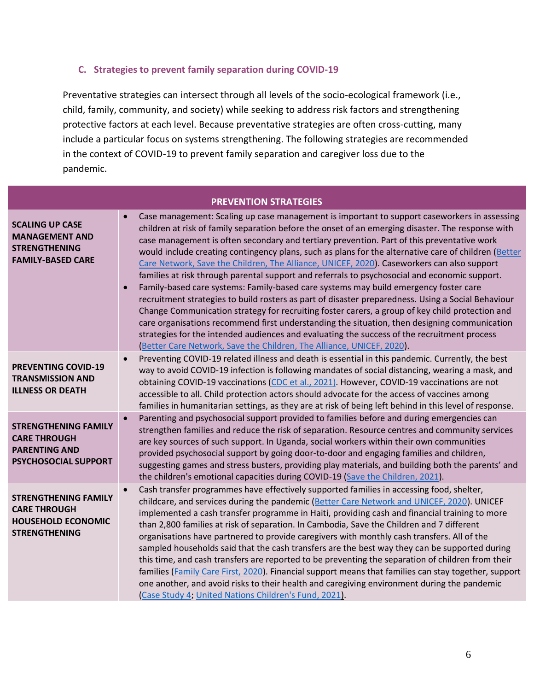### **C. Strategies to prevent family separation during COVID-19**

Preventative strategies can intersect through all levels of the socio-ecological framework (i.e., child, family, community, and society) while seeking to address risk factors and strengthening protective factors at each level. Because preventative strategies are often cross-cutting, many include a particular focus on systems strengthening. The following strategies are recommended in the context of COVID-19 to prevent family separation and caregiver loss due to the pandemic.

| <b>PREVENTION STRATEGIES</b>                                                                            |                                                                                                                                                                                                                                                                                                                                                                                                                                                                                                                                                                                                                                                                                                                                                                                                                                                                                                                                                                                                                                                                                                                                                                                 |  |  |  |
|---------------------------------------------------------------------------------------------------------|---------------------------------------------------------------------------------------------------------------------------------------------------------------------------------------------------------------------------------------------------------------------------------------------------------------------------------------------------------------------------------------------------------------------------------------------------------------------------------------------------------------------------------------------------------------------------------------------------------------------------------------------------------------------------------------------------------------------------------------------------------------------------------------------------------------------------------------------------------------------------------------------------------------------------------------------------------------------------------------------------------------------------------------------------------------------------------------------------------------------------------------------------------------------------------|--|--|--|
| <b>SCALING UP CASE</b><br><b>MANAGEMENT AND</b><br><b>STRENGTHENING</b><br><b>FAMILY-BASED CARE</b>     | Case management: Scaling up case management is important to support caseworkers in assessing<br>children at risk of family separation before the onset of an emerging disaster. The response with<br>case management is often secondary and tertiary prevention. Part of this preventative work<br>would include creating contingency plans, such as plans for the alternative care of children (Better<br>Care Network, Save the Children, The Alliance, UNICEF, 2020). Caseworkers can also support<br>families at risk through parental support and referrals to psychosocial and economic support.<br>Family-based care systems: Family-based care systems may build emergency foster care<br>recruitment strategies to build rosters as part of disaster preparedness. Using a Social Behaviour<br>Change Communication strategy for recruiting foster carers, a group of key child protection and<br>care organisations recommend first understanding the situation, then designing communication<br>strategies for the intended audiences and evaluating the success of the recruitment process<br>(Better Care Network, Save the Children, The Alliance, UNICEF, 2020). |  |  |  |
| <b>PREVENTING COVID-19</b><br><b>TRANSMISSION AND</b><br><b>ILLNESS OR DEATH</b>                        | Preventing COVID-19 related illness and death is essential in this pandemic. Currently, the best<br>way to avoid COVID-19 infection is following mandates of social distancing, wearing a mask, and<br>obtaining COVID-19 vaccinations (CDC et al., 2021). However, COVID-19 vaccinations are not<br>accessible to all. Child protection actors should advocate for the access of vaccines among<br>families in humanitarian settings, as they are at risk of being left behind in this level of response.                                                                                                                                                                                                                                                                                                                                                                                                                                                                                                                                                                                                                                                                      |  |  |  |
| <b>STRENGTHENING FAMILY</b><br><b>CARE THROUGH</b><br><b>PARENTING AND</b><br>PSYCHOSOCIAL SUPPORT      | Parenting and psychosocial support provided to families before and during emergencies can<br>strengthen families and reduce the risk of separation. Resource centres and community services<br>are key sources of such support. In Uganda, social workers within their own communities<br>provided psychosocial support by going door-to-door and engaging families and children,<br>suggesting games and stress busters, providing play materials, and building both the parents' and<br>the children's emotional capacities during COVID-19 (Save the Children, 2021).                                                                                                                                                                                                                                                                                                                                                                                                                                                                                                                                                                                                        |  |  |  |
| <b>STRENGTHENING FAMILY</b><br><b>CARE THROUGH</b><br><b>HOUSEHOLD ECONOMIC</b><br><b>STRENGTHENING</b> | Cash transfer programmes have effectively supported families in accessing food, shelter,<br>$\bullet$<br>childcare, and services during the pandemic (Better Care Network and UNICEF, 2020). UNICEF<br>implemented a cash transfer programme in Haiti, providing cash and financial training to more<br>than 2,800 families at risk of separation. In Cambodia, Save the Children and 7 different<br>organisations have partnered to provide caregivers with monthly cash transfers. All of the<br>sampled households said that the cash transfers are the best way they can be supported during<br>this time, and cash transfers are reported to be preventing the separation of children from their<br>families (Family Care First, 2020). Financial support means that families can stay together, support<br>one another, and avoid risks to their health and caregiving environment during the pandemic<br>Case Study 4; United Nations Children's Fund, 2021).                                                                                                                                                                                                            |  |  |  |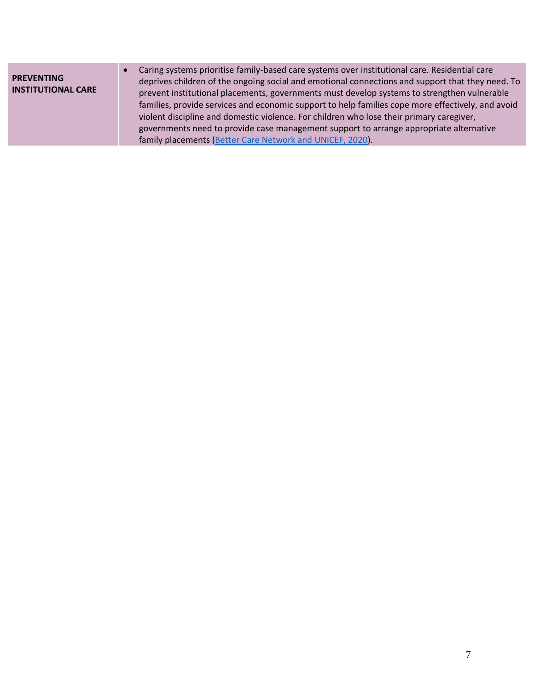<span id="page-6-0"></span>

| <b>PREVENTING</b><br><b>INSTITUTIONAL CARE</b> | Caring systems prioritise family-based care systems over institutional care. Residential care<br>deprives children of the ongoing social and emotional connections and support that they need. To<br>prevent institutional placements, governments must develop systems to strengthen vulnerable<br>families, provide services and economic support to help families cope more effectively, and avoid<br>violent discipline and domestic violence. For children who lose their primary caregiver,<br>governments need to provide case management support to arrange appropriate alternative<br>family placements (Better Care Network and UNICEF, 2020). |
|------------------------------------------------|----------------------------------------------------------------------------------------------------------------------------------------------------------------------------------------------------------------------------------------------------------------------------------------------------------------------------------------------------------------------------------------------------------------------------------------------------------------------------------------------------------------------------------------------------------------------------------------------------------------------------------------------------------|
|------------------------------------------------|----------------------------------------------------------------------------------------------------------------------------------------------------------------------------------------------------------------------------------------------------------------------------------------------------------------------------------------------------------------------------------------------------------------------------------------------------------------------------------------------------------------------------------------------------------------------------------------------------------------------------------------------------------|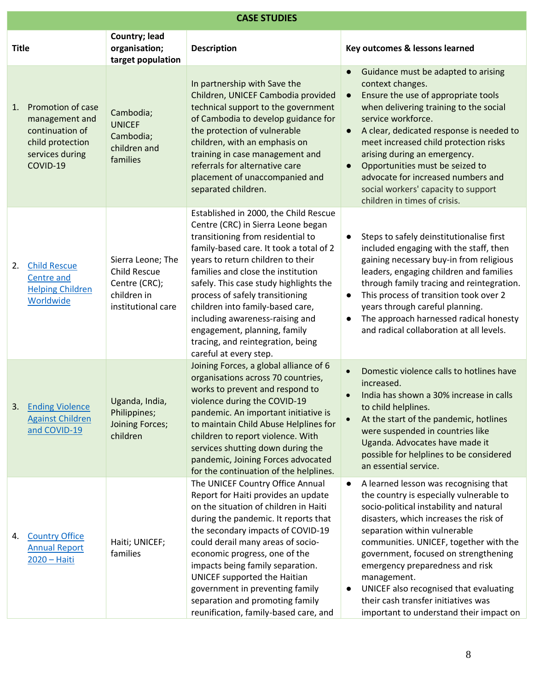| <b>CASE STUDIES</b> |                                                                                                           |                                                                                                |                                                                                                                                                                                                                                                                                                                                                                                                                                                                                           |                                                                                                                                                                                                                                                                                                                                                                                                                                                                                                 |
|---------------------|-----------------------------------------------------------------------------------------------------------|------------------------------------------------------------------------------------------------|-------------------------------------------------------------------------------------------------------------------------------------------------------------------------------------------------------------------------------------------------------------------------------------------------------------------------------------------------------------------------------------------------------------------------------------------------------------------------------------------|-------------------------------------------------------------------------------------------------------------------------------------------------------------------------------------------------------------------------------------------------------------------------------------------------------------------------------------------------------------------------------------------------------------------------------------------------------------------------------------------------|
| <b>Title</b>        |                                                                                                           | Country; lead<br>organisation;<br>target population                                            | <b>Description</b>                                                                                                                                                                                                                                                                                                                                                                                                                                                                        | Key outcomes & lessons learned                                                                                                                                                                                                                                                                                                                                                                                                                                                                  |
| 1.                  | Promotion of case<br>management and<br>continuation of<br>child protection<br>services during<br>COVID-19 | Cambodia;<br><b>UNICEF</b><br>Cambodia;<br>children and<br>families                            | In partnership with Save the<br>Children, UNICEF Cambodia provided<br>technical support to the government<br>of Cambodia to develop guidance for<br>the protection of vulnerable<br>children, with an emphasis on<br>training in case management and<br>referrals for alternative care<br>placement of unaccompanied and<br>separated children.                                                                                                                                           | Guidance must be adapted to arising<br>context changes.<br>Ensure the use of appropriate tools<br>$\bullet$<br>when delivering training to the social<br>service workforce.<br>A clear, dedicated response is needed to<br>$\bullet$<br>meet increased child protection risks<br>arising during an emergency.<br>Opportunities must be seized to<br>$\bullet$<br>advocate for increased numbers and<br>social workers' capacity to support<br>children in times of crisis.                      |
| 2.                  | <b>Child Rescue</b><br>Centre and<br><b>Helping Children</b><br>Worldwide                                 | Sierra Leone; The<br><b>Child Rescue</b><br>Centre (CRC);<br>children in<br>institutional care | Established in 2000, the Child Rescue<br>Centre (CRC) in Sierra Leone began<br>transitioning from residential to<br>family-based care. It took a total of 2<br>years to return children to their<br>families and close the institution<br>safely. This case study highlights the<br>process of safely transitioning<br>children into family-based care,<br>including awareness-raising and<br>engagement, planning, family<br>tracing, and reintegration, being<br>careful at every step. | Steps to safely deinstitutionalise first<br>$\bullet$<br>included engaging with the staff, then<br>gaining necessary buy-in from religious<br>leaders, engaging children and families<br>through family tracing and reintegration.<br>This process of transition took over 2<br>$\bullet$<br>years through careful planning.<br>The approach harnessed radical honesty<br>$\bullet$<br>and radical collaboration at all levels.                                                                 |
| 3.                  | <b>Ending Violence</b><br><b>Against Children</b><br>and COVID-19                                         | Uganda, India,<br>Philippines;<br>Joining Forces;<br>children                                  | Joining Forces, a global alliance of 6<br>organisations across 70 countries,<br>works to prevent and respond to<br>violence during the COVID-19<br>pandemic. An important initiative is<br>to maintain Child Abuse Helplines for<br>children to report violence. With<br>services shutting down during the<br>pandemic, Joining Forces advocated<br>for the continuation of the helplines.                                                                                                | Domestic violence calls to hotlines have<br>$\bullet$<br>increased.<br>India has shown a 30% increase in calls<br>to child helplines.<br>At the start of the pandemic, hotlines<br>$\bullet$<br>were suspended in countries like<br>Uganda. Advocates have made it<br>possible for helplines to be considered<br>an essential service.                                                                                                                                                          |
| 4.                  | <b>Country Office</b><br><b>Annual Report</b><br>2020 - Haiti                                             | Haiti; UNICEF;<br>families                                                                     | The UNICEF Country Office Annual<br>Report for Haiti provides an update<br>on the situation of children in Haiti<br>during the pandemic. It reports that<br>the secondary impacts of COVID-19<br>could derail many areas of socio-<br>economic progress, one of the<br>impacts being family separation.<br>UNICEF supported the Haitian<br>government in preventing family<br>separation and promoting family<br>reunification, family-based care, and                                    | A learned lesson was recognising that<br>$\bullet$<br>the country is especially vulnerable to<br>socio-political instability and natural<br>disasters, which increases the risk of<br>separation within vulnerable<br>communities. UNICEF, together with the<br>government, focused on strengthening<br>emergency preparedness and risk<br>management.<br>UNICEF also recognised that evaluating<br>$\bullet$<br>their cash transfer initiatives was<br>important to understand their impact on |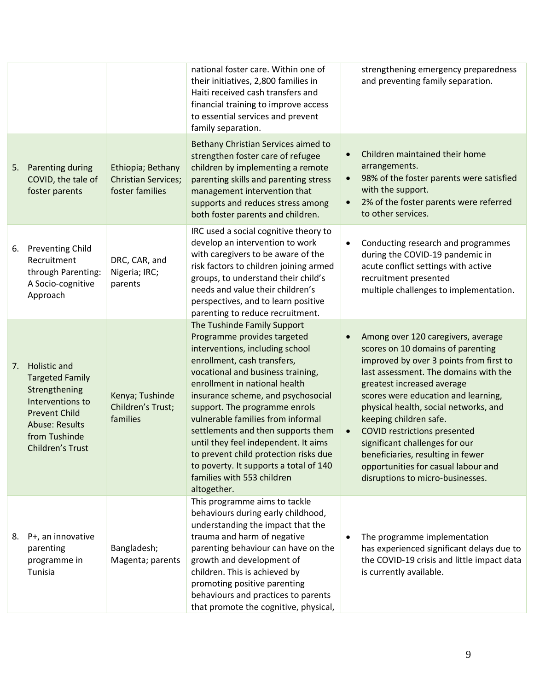|    |                                                                                                                                                                          |                                                                    | national foster care. Within one of<br>their initiatives, 2,800 families in<br>Haiti received cash transfers and<br>financial training to improve access<br>to essential services and prevent<br>family separation.                                                                                                                                                                                                                                                                                                          |           | strengthening emergency preparedness<br>and preventing family separation.                                                                                                                                                                                                                                                                                                                                                                                                                    |
|----|--------------------------------------------------------------------------------------------------------------------------------------------------------------------------|--------------------------------------------------------------------|------------------------------------------------------------------------------------------------------------------------------------------------------------------------------------------------------------------------------------------------------------------------------------------------------------------------------------------------------------------------------------------------------------------------------------------------------------------------------------------------------------------------------|-----------|----------------------------------------------------------------------------------------------------------------------------------------------------------------------------------------------------------------------------------------------------------------------------------------------------------------------------------------------------------------------------------------------------------------------------------------------------------------------------------------------|
| 5. | Parenting during<br>COVID, the tale of<br>foster parents                                                                                                                 | Ethiopia; Bethany<br><b>Christian Services;</b><br>foster families | Bethany Christian Services aimed to<br>strengthen foster care of refugee<br>children by implementing a remote<br>parenting skills and parenting stress<br>management intervention that<br>supports and reduces stress among<br>both foster parents and children.                                                                                                                                                                                                                                                             | $\bullet$ | Children maintained their home<br>arrangements.<br>98% of the foster parents were satisfied<br>with the support.<br>2% of the foster parents were referred<br>to other services.                                                                                                                                                                                                                                                                                                             |
| 6. | <b>Preventing Child</b><br>Recruitment<br>through Parenting:<br>A Socio-cognitive<br>Approach                                                                            | DRC, CAR, and<br>Nigeria; IRC;<br>parents                          | IRC used a social cognitive theory to<br>develop an intervention to work<br>with caregivers to be aware of the<br>risk factors to children joining armed<br>groups, to understand their child's<br>needs and value their children's<br>perspectives, and to learn positive<br>parenting to reduce recruitment.                                                                                                                                                                                                               | $\bullet$ | Conducting research and programmes<br>during the COVID-19 pandemic in<br>acute conflict settings with active<br>recruitment presented<br>multiple challenges to implementation.                                                                                                                                                                                                                                                                                                              |
| 7. | Holistic and<br><b>Targeted Family</b><br>Strengthening<br>Interventions to<br><b>Prevent Child</b><br><b>Abuse: Results</b><br>from Tushinde<br><b>Children's Trust</b> | Kenya; Tushinde<br>Children's Trust;<br>families                   | The Tushinde Family Support<br>Programme provides targeted<br>interventions, including school<br>enrollment, cash transfers,<br>vocational and business training,<br>enrollment in national health<br>insurance scheme, and psychosocial<br>support. The programme enrols<br>vulnerable families from informal<br>settlements and then supports them<br>until they feel independent. It aims<br>to prevent child protection risks due<br>to poverty. It supports a total of 140<br>families with 553 children<br>altogether. | $\bullet$ | Among over 120 caregivers, average<br>scores on 10 domains of parenting<br>improved by over 3 points from first to<br>last assessment. The domains with the<br>greatest increased average<br>scores were education and learning,<br>physical health, social networks, and<br>keeping children safe.<br><b>COVID restrictions presented</b><br>significant challenges for our<br>beneficiaries, resulting in fewer<br>opportunities for casual labour and<br>disruptions to micro-businesses. |
| 8. | P+, an innovative<br>parenting<br>programme in<br>Tunisia                                                                                                                | Bangladesh;<br>Magenta; parents                                    | This programme aims to tackle<br>behaviours during early childhood,<br>understanding the impact that the<br>trauma and harm of negative<br>parenting behaviour can have on the<br>growth and development of<br>children. This is achieved by<br>promoting positive parenting<br>behaviours and practices to parents<br>that promote the cognitive, physical,                                                                                                                                                                 |           | The programme implementation<br>has experienced significant delays due to<br>the COVID-19 crisis and little impact data<br>is currently available.                                                                                                                                                                                                                                                                                                                                           |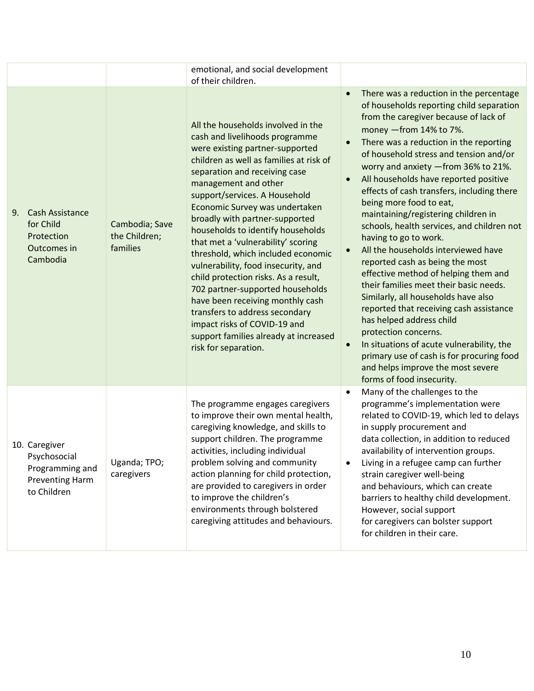|                                                                                    |                                             | emotional, and social development<br>of their children.                                                                                                                                                                                                                                                                                                                                                                                                                                                                                                                                                                                                                                                                     |                                                                                                                                                                                                                                                                                                                                                                                                                                                                                                                                                                                                                                                                                                                                                                                                                                                                                                                                                                                                             |
|------------------------------------------------------------------------------------|---------------------------------------------|-----------------------------------------------------------------------------------------------------------------------------------------------------------------------------------------------------------------------------------------------------------------------------------------------------------------------------------------------------------------------------------------------------------------------------------------------------------------------------------------------------------------------------------------------------------------------------------------------------------------------------------------------------------------------------------------------------------------------------|-------------------------------------------------------------------------------------------------------------------------------------------------------------------------------------------------------------------------------------------------------------------------------------------------------------------------------------------------------------------------------------------------------------------------------------------------------------------------------------------------------------------------------------------------------------------------------------------------------------------------------------------------------------------------------------------------------------------------------------------------------------------------------------------------------------------------------------------------------------------------------------------------------------------------------------------------------------------------------------------------------------|
| 9.<br>Cash Assistance<br>for Child<br>Protection<br>Outcomes in<br>Cambodia        | Cambodia; Save<br>the Children;<br>families | All the households involved in the<br>cash and livelihoods programme<br>were existing partner-supported<br>children as well as families at risk of<br>separation and receiving case<br>management and other<br>support/services. A Household<br>Economic Survey was undertaken<br>broadly with partner-supported<br>households to identify households<br>that met a 'vulnerability' scoring<br>threshold, which included economic<br>vulnerability, food insecurity, and<br>child protection risks. As a result,<br>702 partner-supported households<br>have been receiving monthly cash<br>transfers to address secondary<br>impact risks of COVID-19 and<br>support families already at increased<br>risk for separation. | There was a reduction in the percentage<br>$\bullet$<br>of households reporting child separation<br>from the caregiver because of lack of<br>money - from 14% to 7%.<br>There was a reduction in the reporting<br>of household stress and tension and/or<br>worry and anxiety - from 36% to 21%.<br>All households have reported positive<br>effects of cash transfers, including there<br>being more food to eat,<br>maintaining/registering children in<br>schools, health services, and children not<br>having to go to work.<br>All the households interviewed have<br>reported cash as being the most<br>effective method of helping them and<br>their families meet their basic needs.<br>Similarly, all households have also<br>reported that receiving cash assistance<br>has helped address child<br>protection concerns.<br>In situations of acute vulnerability, the<br>$\bullet$<br>primary use of cash is for procuring food<br>and helps improve the most severe<br>forms of food insecurity. |
| 10. Caregiver<br>Psychosocial<br>Programming and<br>Preventing Harm<br>to Children | Uganda; TPO;<br>caregivers                  | The programme engages caregivers<br>to improve their own mental health,<br>caregiving knowledge, and skills to<br>support children. The programme<br>activities, including individual<br>problem solving and community<br>action planning for child protection,<br>are provided to caregivers in order<br>to improve the children's<br>environments through bolstered<br>caregiving attitudes and behaviours.                                                                                                                                                                                                                                                                                                               | Many of the challenges to the<br>$\bullet$<br>programme's implementation were<br>related to COVID-19, which led to delays<br>in supply procurement and<br>data collection, in addition to reduced<br>availability of intervention groups.<br>Living in a refugee camp can further<br>strain caregiver well-being<br>and behaviours, which can create<br>barriers to healthy child development.<br>However, social support<br>for caregivers can bolster support<br>for children in their care.                                                                                                                                                                                                                                                                                                                                                                                                                                                                                                              |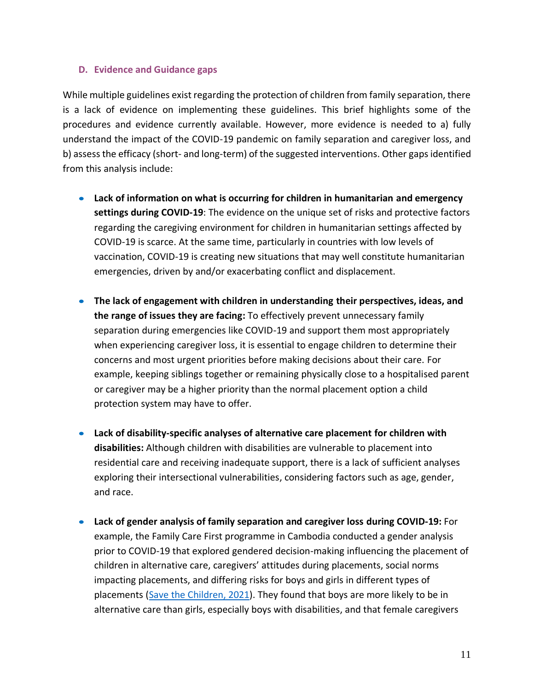### **D. Evidence and Guidance gaps**

While multiple guidelines exist regarding the protection of children from family separation, there is a lack of evidence on implementing these guidelines. This brief highlights some of the procedures and evidence currently available. However, more evidence is needed to a) fully understand the impact of the COVID-19 pandemic on family separation and caregiver loss, and b) assess the efficacy (short- and long-term) of the suggested interventions. Other gaps identified from this analysis include:

- **Lack of information on what is occurring for children in humanitarian and emergency settings during COVID-19**: The evidence on the unique set of risks and protective factors regarding the caregiving environment for children in humanitarian settings affected by COVID-19 is scarce. At the same time, particularly in countries with low levels of vaccination, COVID-19 is creating new situations that may well constitute humanitarian emergencies, driven by and/or exacerbating conflict and displacement.
- **The lack of engagement with children in understanding their perspectives, ideas, and the range of issues they are facing:** To effectively prevent unnecessary family separation during emergencies like COVID-19 and support them most appropriately when experiencing caregiver loss, it is essential to engage children to determine their concerns and most urgent priorities before making decisions about their care. For example, keeping siblings together or remaining physically close to a hospitalised parent or caregiver may be a higher priority than the normal placement option a child protection system may have to offer.
- **Lack of disability-specific analyses of alternative care placement for children with disabilities:** Although children with disabilities are vulnerable to placement into residential care and receiving inadequate support, there is a lack of sufficient analyses exploring their intersectional vulnerabilities, considering factors such as age, gender, and race.
- **Lack of gender analysis of family separation and caregiver loss during COVID-19:** For example, the Family Care First programme in Cambodia conducted a gender analysis prior to COVID-19 that explored gendered decision-making influencing the placement of children in alternative care, caregivers' attitudes during placements, social norms impacting placements, and differing risks for boys and girls in different types of placements [\(Save the Children, 2021\)](https://resourcecentre.savethechildren.net/node/19171/pdf/Gender%20Intersectionality%20and%20Family%20Separation%20Alternative%20Care%20and%20%20the%20Reintegration%20of%20Children%20FINAL_0.pdf). They found that boys are more likely to be in alternative care than girls, especially boys with disabilities, and that female caregivers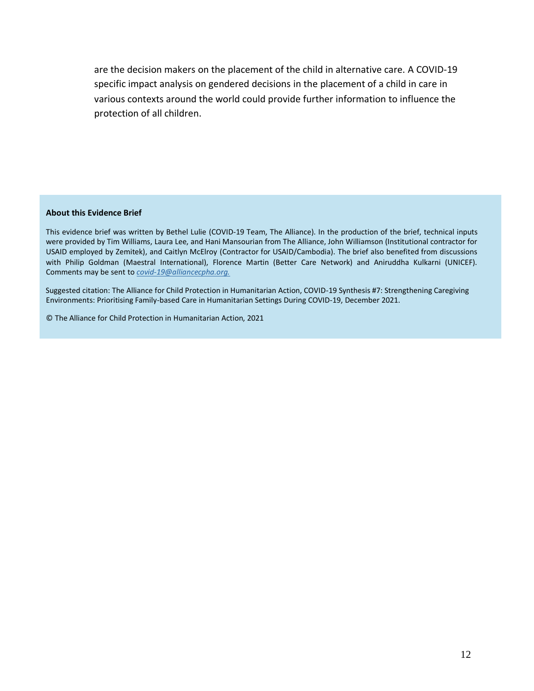are the decision makers on the placement of the child in alternative care. A COVID-19 specific impact analysis on gendered decisions in the placement of a child in care in various contexts around the world could provide further information to influence the protection of all children.

#### **About this Evidence Brief**

This evidence brief was written by Bethel Lulie (COVID-19 Team, The Alliance). In the production of the brief, technical inputs were provided by Tim Williams, Laura Lee, and Hani Mansourian from The Alliance, John Williamson (Institutional contractor for USAID employed by Zemitek), and Caitlyn McElroy (Contractor for USAID/Cambodia). The brief also benefited from discussions with Philip Goldman (Maestral International), Florence Martin (Better Care Network) and Aniruddha Kulkarni (UNICEF). Comments may be sent to *covid-19@alliancecpha.org.*

Suggested citation: The Alliance for Child Protection in Humanitarian Action, COVID-19 Synthesis #7: Strengthening Caregiving Environments: Prioritising Family-based Care in Humanitarian Settings During COVID-19, December 2021.

© The Alliance for Child Protection in Humanitarian Action, 2021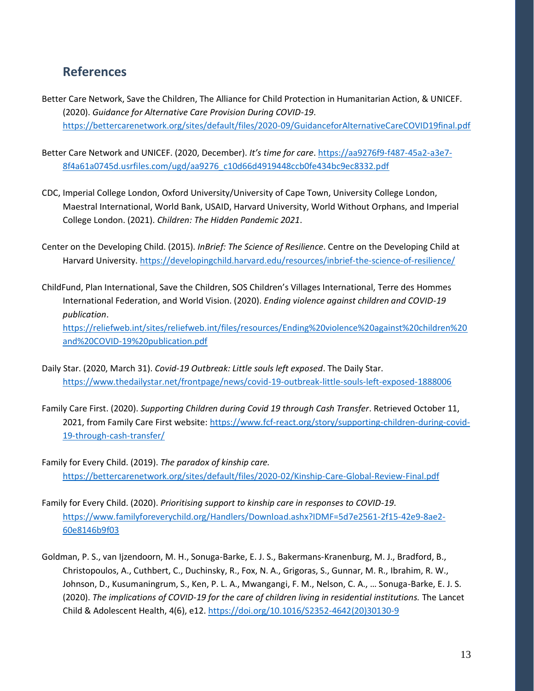# **References**

- Better Care Network, Save the Children, The Alliance for Child Protection in Humanitarian Action, & UNICEF. (2020). *Guidance for Alternative Care Provision During COVID-19*. <https://bettercarenetwork.org/sites/default/files/2020-09/GuidanceforAlternativeCareCOVID19final.pdf>
- Better Care Network and UNICEF. (2020, December). *It's time for care*[. https://aa9276f9-f487-45a2-a3e7-](https://aa9276f9-f487-45a2-a3e7-8f4a61a0745d.usrfiles.com/ugd/aa9276_c10d66d4919448ccb0fe434bc9ec8332.pdf) [8f4a61a0745d.usrfiles.com/ugd/aa9276\\_c10d66d4919448ccb0fe434bc9ec8332.pdf](https://aa9276f9-f487-45a2-a3e7-8f4a61a0745d.usrfiles.com/ugd/aa9276_c10d66d4919448ccb0fe434bc9ec8332.pdf)
- CDC, Imperial College London, Oxford University/University of Cape Town, University College London, Maestral International, World Bank, USAID, Harvard University, World Without Orphans, and Imperial College London. (2021). *Children: The Hidden Pandemic 2021*.
- Center on the Developing Child. (2015). *InBrief: The Science of Resilience*. Centre on the Developing Child at Harvard University[. https://developingchild.harvard.edu/resources/inbrief-the-science-of-resilience/](https://developingchild.harvard.edu/resources/inbrief-the-science-of-resilience/)
- ChildFund, Plan International, Save the Children, SOS Children's Villages International, Terre des Hommes International Federation, and World Vision. (2020). *Ending violence against children and COVID-19 publication*.

[https://reliefweb.int/sites/reliefweb.int/files/resources/Ending%20violence%20against%20children%20](https://reliefweb.int/sites/reliefweb.int/files/resources/Ending%20violence%20against%20children%20and%20COVID-19%20publication.pdf) [and%20COVID-19%20publication.pdf](https://reliefweb.int/sites/reliefweb.int/files/resources/Ending%20violence%20against%20children%20and%20COVID-19%20publication.pdf)

- Daily Star. (2020, March 31). *Covid-19 Outbreak: Little souls left exposed*. The Daily Star. <https://www.thedailystar.net/frontpage/news/covid-19-outbreak-little-souls-left-exposed-1888006>
- Family Care First. (2020). *Supporting Children during Covid 19 through Cash Transfer*. Retrieved October 11, 2021, from Family Care First website: [https://www.fcf-react.org/story/supporting-children-during-covid-](https://www.fcf-react.org/story/supporting-children-during-covid-19-through-cash-transfer/)[19-through-cash-transfer/](https://www.fcf-react.org/story/supporting-children-during-covid-19-through-cash-transfer/)
- Family for Every Child. (2019). *The paradox of kinship care.* <https://bettercarenetwork.org/sites/default/files/2020-02/Kinship-Care-Global-Review-Final.pdf>
- Family for Every Child. (2020). *Prioritising support to kinship care in responses to COVID-19*. [https://www.familyforeverychild.org/Handlers/Download.ashx?IDMF=5d7e2561-2f15-42e9-8ae2-](https://www.familyforeverychild.org/Handlers/Download.ashx?IDMF=5d7e2561-2f15-42e9-8ae2-60e8146b9f03) [60e8146b9f03](https://www.familyforeverychild.org/Handlers/Download.ashx?IDMF=5d7e2561-2f15-42e9-8ae2-60e8146b9f03)
- Goldman, P. S., van Ijzendoorn, M. H., Sonuga-Barke, E. J. S., Bakermans-Kranenburg, M. J., Bradford, B., Christopoulos, A., Cuthbert, C., Duchinsky, R., Fox, N. A., Grigoras, S., Gunnar, M. R., Ibrahim, R. W., Johnson, D., Kusumaningrum, S., Ken, P. L. A., Mwangangi, F. M., Nelson, C. A., … Sonuga-Barke, E. J. S. (2020). *The implications of COVID-19 for the care of children living in residential institutions.* The Lancet Child & Adolescent Health, 4(6), e12. [https://doi.org/10.1016/S2352-4642\(20\)30130-9](https://doi.org/10.1016/S2352-4642(20)30130-9)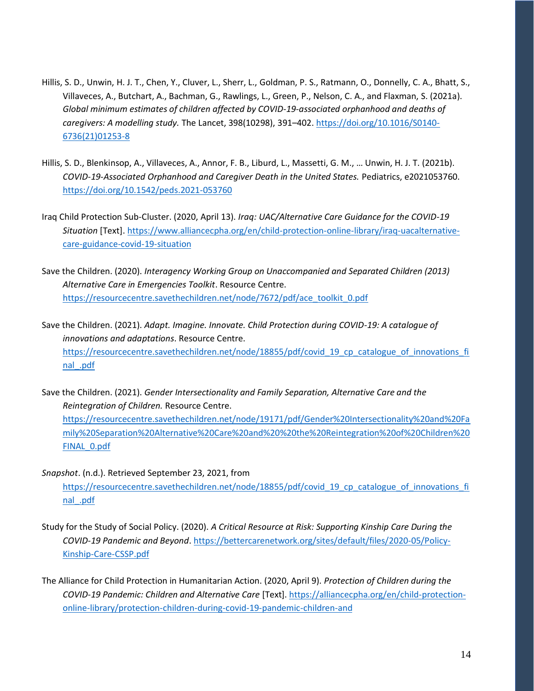- Hillis, S. D., Unwin, H. J. T., Chen, Y., Cluver, L., Sherr, L., Goldman, P. S., Ratmann, O., Donnelly, C. A., Bhatt, S., Villaveces, A., Butchart, A., Bachman, G., Rawlings, L., Green, P., Nelson, C. A., and Flaxman, S. (2021a). *Global minimum estimates of children affected by COVID-19-associated orphanhood and deaths of caregivers: A modelling study.* The Lancet, 398(10298), 391–402[. https://doi.org/10.1016/S0140-](https://doi.org/10.1016/S0140-6736(21)01253-8) [6736\(21\)01253-8](https://doi.org/10.1016/S0140-6736(21)01253-8)
- Hillis, S. D., Blenkinsop, A., Villaveces, A., Annor, F. B., Liburd, L., Massetti, G. M., … Unwin, H. J. T. (2021b). *COVID-19-Associated Orphanhood and Caregiver Death in the United States.* Pediatrics, e2021053760. <https://doi.org/10.1542/peds.2021-053760>
- Iraq Child Protection Sub-Cluster. (2020, April 13). *Iraq: UAC/Alternative Care Guidance for the COVID-19 Situation* [Text]. [https://www.alliancecpha.org/en/child-protection-online-library/iraq-uacalternative](https://www.alliancecpha.org/en/child-protection-online-library/iraq-uacalternative-care-guidance-covid-19-situation)[care-guidance-covid-19-situation](https://www.alliancecpha.org/en/child-protection-online-library/iraq-uacalternative-care-guidance-covid-19-situation)
- Save the Children. (2020). *Interagency Working Group on Unaccompanied and Separated Children (2013) Alternative Care in Emergencies Toolkit*. Resource Centre. [https://resourcecentre.savethechildren.net/node/7672/pdf/ace\\_toolkit\\_0.pdf](https://resourcecentre.savethechildren.net/node/7672/pdf/ace_toolkit_0.pdf)

Save the Children. (2021). *Adapt. Imagine. Innovate. Child Protection during COVID-19: A catalogue of innovations and adaptations*. Resource Centre. [https://resourcecentre.savethechildren.net/node/18855/pdf/covid\\_19\\_cp\\_catalogue\\_of\\_innovations\\_fi](https://resourcecentre.savethechildren.net/node/18855/pdf/covid_19_cp_catalogue_of_innovations_final_.pdf) [nal\\_.pdf](https://resourcecentre.savethechildren.net/node/18855/pdf/covid_19_cp_catalogue_of_innovations_final_.pdf)

- Save the Children. (2021). *Gender Intersectionality and Family Separation, Alternative Care and the Reintegration of Children.* Resource Centre. [https://resourcecentre.savethechildren.net/node/19171/pdf/Gender%20Intersectionality%20and%20Fa](https://resourcecentre.savethechildren.net/node/19171/pdf/Gender%20Intersectionality%20and%20Family%20Separation%20Alternative%20Care%20and%20%20the%20Reintegration%20of%20Children%20FINAL_0.pdf) [mily%20Separation%20Alternative%20Care%20and%20%20the%20Reintegration%20of%20Children%20](https://resourcecentre.savethechildren.net/node/19171/pdf/Gender%20Intersectionality%20and%20Family%20Separation%20Alternative%20Care%20and%20%20the%20Reintegration%20of%20Children%20FINAL_0.pdf) [FINAL\\_0.pdf](https://resourcecentre.savethechildren.net/node/19171/pdf/Gender%20Intersectionality%20and%20Family%20Separation%20Alternative%20Care%20and%20%20the%20Reintegration%20of%20Children%20FINAL_0.pdf)
- *Snapshot*. (n.d.). Retrieved September 23, 2021, from [https://resourcecentre.savethechildren.net/node/18855/pdf/covid\\_19\\_cp\\_catalogue\\_of\\_innovations\\_fi](https://resourcecentre.savethechildren.net/node/18855/pdf/covid_19_cp_catalogue_of_innovations_final_.pdf) [nal\\_.pdf](https://resourcecentre.savethechildren.net/node/18855/pdf/covid_19_cp_catalogue_of_innovations_final_.pdf)
- Study for the Study of Social Policy. (2020). *A Critical Resource at Risk: Supporting Kinship Care During the COVID-19 Pandemic and Beyond*. [https://bettercarenetwork.org/sites/default/files/2020-05/Policy-](https://bettercarenetwork.org/sites/default/files/2020-05/Policy-Kinship-Care-CSSP.pdf)[Kinship-Care-CSSP.pdf](https://bettercarenetwork.org/sites/default/files/2020-05/Policy-Kinship-Care-CSSP.pdf)
- The Alliance for Child Protection in Humanitarian Action. (2020, April 9). *Protection of Children during the COVID-19 Pandemic: Children and Alternative Care* [Text][. https://alliancecpha.org/en/child-protection](https://alliancecpha.org/en/child-protection-online-library/protection-children-during-covid-19-pandemic-children-and)[online-library/protection-children-during-covid-19-pandemic-children-and](https://alliancecpha.org/en/child-protection-online-library/protection-children-during-covid-19-pandemic-children-and)